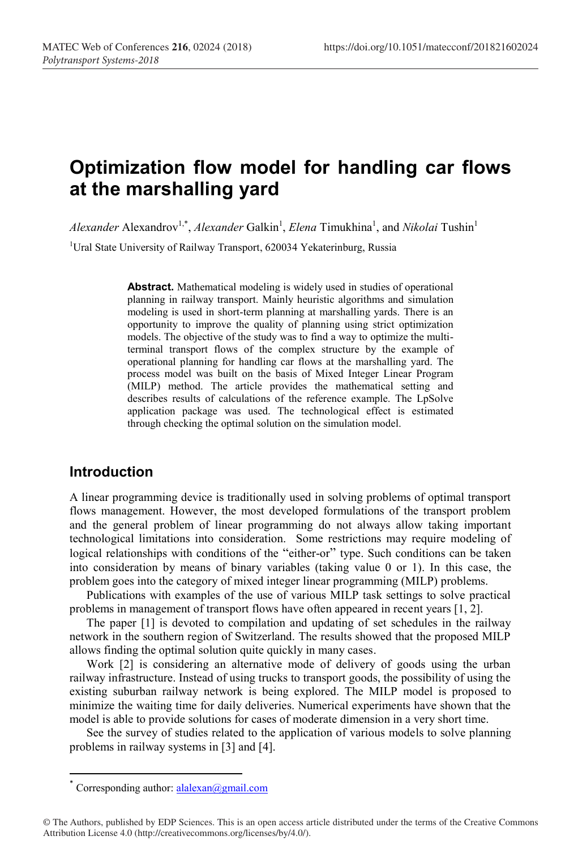# **Optimization flow model for handling car flows at the marshalling yard**

Alexander Alexandrov<sup>1,\*</sup>, Alexander Galkin<sup>1</sup>, Elena Timukhina<sup>1</sup>, and Nikolai Tushin<sup>1</sup> <sup>1</sup>Ural State University of Railway Transport, 620034 Yekaterinburg, Russia

> **Abstract.** Mathematical modeling is widely used in studies of operational planning in railway transport. Mainly heuristic algorithms and simulation modeling is used in short-term planning at marshalling yards. There is an opportunity to improve the quality of planning using strict optimization models. The objective of the study was to find a way to optimize the multiterminal transport flows of the complex structure by the example of operational planning for handling car flows at the marshalling yard. The process model was built on the basis of Mixed Integer Linear Program (MILP) method. The article provides the mathematical setting and describes results of calculations of the reference example. The LpSolve application package was used. The technological effect is estimated through checking the optimal solution on the simulation model.

## **Introduction**

A linear programming device is traditionally used in solving problems of optimal transport flows management. However, the most developed formulations of the transport problem and the general problem of linear programming do not always allow taking important technological limitations into consideration. Some restrictions may require modeling of logical relationships with conditions of the "either-or" type. Such conditions can be taken into consideration by means of binary variables (taking value 0 or 1). In this case, the problem goes into the category of mixed integer linear programming (MILP) problems.

Publications with examples of the use of various MILP task settings to solve practical problems in management of transport flows have often appeared in recent years [1, 2].

The paper [1] is devoted to compilation and updating of set schedules in the railway network in the southern region of Switzerland. The results showed that the proposed MILP allows finding the optimal solution quite quickly in many cases.

Work [2] is considering an alternative mode of delivery of goods using the urban railway infrastructure. Instead of using trucks to transport goods, the possibility of using the existing suburban railway network is being explored. The MILP model is proposed to minimize the waiting time for daily deliveries. Numerical experiments have shown that the model is able to provide solutions for cases of moderate dimension in a very short time.

See the survey of studies related to the application of various models to solve planning problems in railway systems in [3] and [4].

<sup>\*</sup> Corresponding author:  $\text{al~~alexan@gmail.com~~$ 

<sup>©</sup> The Authors, published by EDP Sciences. This is an open access article distributed under the terms of the Creative Commons Attribution License 4.0 (http://creativecommons.org/licenses/by/4.0/).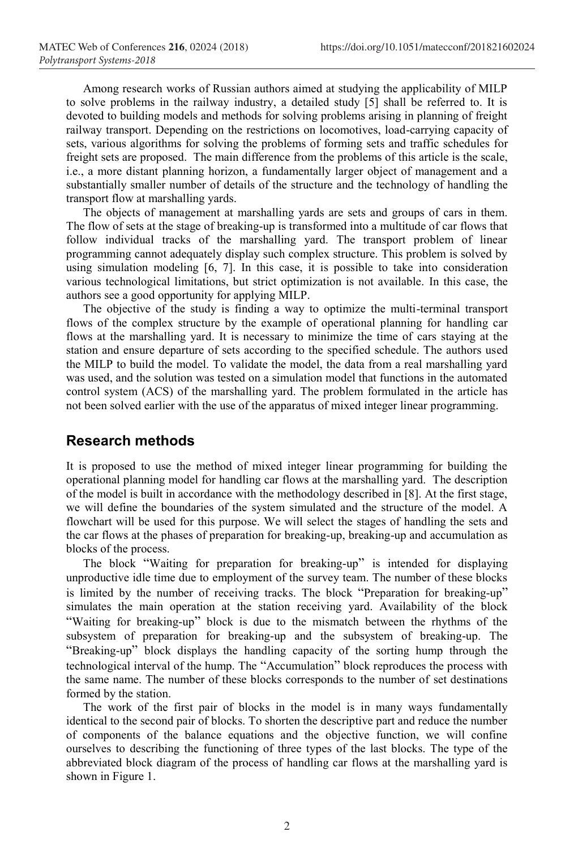Among research works of Russian authors aimed at studying the applicability of MILP to solve problems in the railway industry, a detailed study [5] shall be referred to. It is devoted to building models and methods for solving problems arising in planning of freight railway transport. Depending on the restrictions on locomotives, load-carrying capacity of sets, various algorithms for solving the problems of forming sets and traffic schedules for freight sets are proposed. The main difference from the problems of this article is the scale, i.e., a more distant planning horizon, a fundamentally larger object of management and a substantially smaller number of details of the structure and the technology of handling the transport flow at marshalling yards.

The objects of management at marshalling yards are sets and groups of cars in them. The flow of sets at the stage of breaking-up is transformed into a multitude of car flows that follow individual tracks of the marshalling yard. The transport problem of linear programming cannot adequately display such complex structure. This problem is solved by using simulation modeling [6, 7]. In this case, it is possible to take into consideration various technological limitations, but strict optimization is not available. In this case, the authors see a good opportunity for applying MILP.

The objective of the study is finding a way to optimize the multi-terminal transport flows of the complex structure by the example of operational planning for handling car flows at the marshalling yard. It is necessary to minimize the time of cars staying at the station and ensure departure of sets according to the specified schedule. The authors used the MILP to build the model. To validate the model, the data from a real marshalling yard was used, and the solution was tested on a simulation model that functions in the automated control system (ACS) of the marshalling yard. The problem formulated in the article has not been solved earlier with the use of the apparatus of mixed integer linear programming.

#### **Research methods**

It is proposed to use the method of mixed integer linear programming for building the operational planning model for handling car flows at the marshalling yard. The description of the model is built in accordance with the methodology described in [8]. At the first stage, we will define the boundaries of the system simulated and the structure of the model. A flowchart will be used for this purpose. We will select the stages of handling the sets and the car flows at the phases of preparation for breaking-up, breaking-up and accumulation as blocks of the process.

The block "Waiting for preparation for breaking-up" is intended for displaying unproductive idle time due to employment of the survey team. The number of these blocks is limited by the number of receiving tracks. The block "Preparation for breaking-up" simulates the main operation at the station receiving yard. Availability of the block "Waiting for breaking-up" block is due to the mismatch between the rhythms of the subsystem of preparation for breaking-up and the subsystem of breaking-up. The "Breaking-up" block displays the handling capacity of the sorting hump through the technological interval of the hump. The "Accumulation" block reproduces the process with the same name. The number of these blocks corresponds to the number of set destinations formed by the station.

The work of the first pair of blocks in the model is in many ways fundamentally identical to the second pair of blocks. To shorten the descriptive part and reduce the number of components of the balance equations and the objective function, we will confine ourselves to describing the functioning of three types of the last blocks. The type of the abbreviated block diagram of the process of handling car flows at the marshalling yard is shown in Figure 1.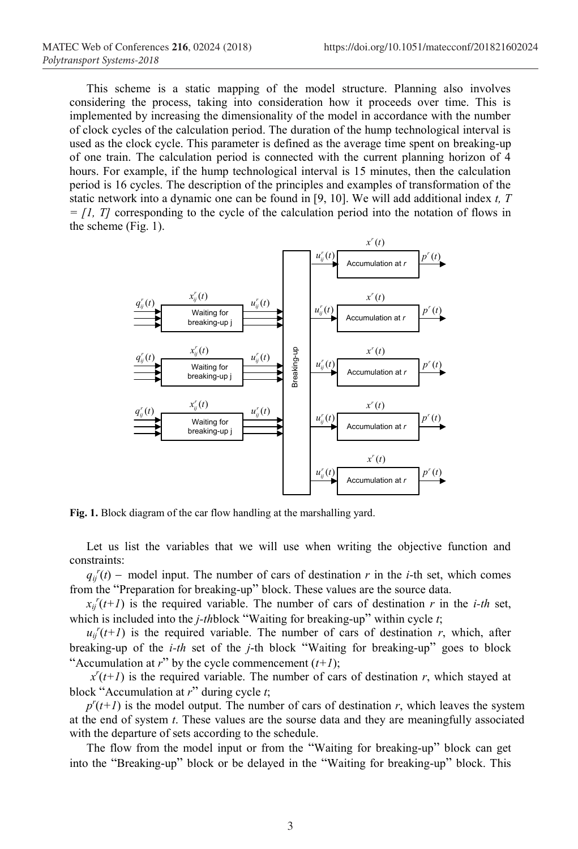This scheme is a static mapping of the model structure. Planning also involves considering the process, taking into consideration how it proceeds over time. This is implemented by increasing the dimensionality of the model in accordance with the number of clock cycles of the calculation period. The duration of the hump technological interval is used as the clock cycle. This parameter is defined as the average time spent on breaking-up of one train. The calculation period is connected with the current planning horizon of 4 hours. For example, if the hump technological interval is 15 minutes, then the calculation period is 16 cycles. The description of the principles and examples of transformation of the static network into a dynamic one can be found in [9, 10]. We will add additional index *t, T = [1, T]* corresponding to the cycle of the calculation period into the notation of flows in the scheme (Fig. 1).



Fig. 1. Block diagram of the car flow handling at the marshalling yard.

Let us list the variables that we will use when writing the objective function and constraints:

 $q_{ij}^r(t)$  – model input. The number of cars of destination *r* in the *i*-th set, which comes from the "Preparation for breaking-up" block. These values are the source data.

 $x_{ij}^r(t+1)$  is the required variable. The number of cars of destination *r* in the *i-th* set, which is included into the *j-th*block "Waiting for breaking-up" within cycle *t*;

 $u_{ij}^r(t+1)$  is the required variable. The number of cars of destination *r*, which, after breaking-up of the *i-th* set of the *j*-th block "Waiting for breaking-up" goes to block "Accumulation at  $r$ " by the cycle commencement  $(t+1)$ ;

 $x^{r}(t+1)$  is the required variable. The number of cars of destination *r*, which stayed at block "Accumulation at *r*" during cycle *t*;

 $p^{r}(t+1)$  is the model output. The number of cars of destination *r*, which leaves the system at the end of system *t*. These values are the sourse data and they are meaningfully associated with the departure of sets according to the schedule.

The flow from the model input or from the "Waiting for breaking-up" block can get into the "Breaking-up" block or be delayed in the "Waiting for breaking-up" block. This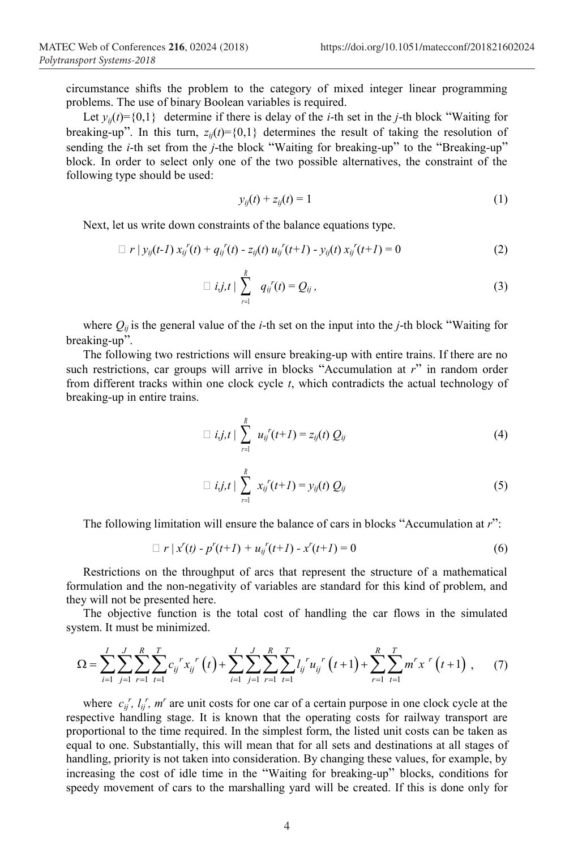circumstance shifts the problem to the category of mixed integer linear programming problems. The use of binary Boolean variables is required.

Let  $y_{ij}(t) = \{0,1\}$  determine if there is delay of the *i*-th set in the *j*-th block "Waiting for breaking-up". In this turn,  $z_{ij}(t) = \{0,1\}$  determines the result of taking the resolution of sending the *i*-th set from the *j*-the block "Waiting for breaking-up" to the "Breaking-up" block. In order to select only one of the two possible alternatives, the constraint of the following type should be used:

$$
y_{ij}(t) + z_{ij}(t) = 1
$$
 (1)

Next, let us write down constraints of the balance equations type.

$$
\Box r \mid y_{ij}(t-1) x_{ij}^{\ r}(t) + q_{ij}^{\ r}(t) - z_{ij}(t) u_{ij}^{\ r}(t+1) - y_{ij}(t) x_{ij}^{\ r}(t+1) = 0 \tag{2}
$$

$$
\Box i,j,t\mid \sum_{r=1}^R q_{ij}^r(t)=Q_{ij}, \qquad (3)
$$

where  $Q_{ij}$  is the general value of the *i*-th set on the input into the *j*-th block "Waiting for breaking-up".

The following two restrictions will ensure breaking-up with entire trains. If there are no such restrictions, car groups will arrive in blocks "Accumulation at *r*" in random order from different tracks within one clock cycle *t*, which contradicts the actual technology of breaking-up in entire trains.

$$
\Box i,j,t \mid \sum_{r=1}^{R} u_{ij}^{r}(t+I) = z_{ij}(t) Q_{ij}
$$
 (4)

$$
\Box i,j,t \mid \sum_{r=1}^{R} x_{ij}^{r}(t+I) = y_{ij}(t) Q_{ij}
$$
 (5)

The following limitation will ensure the balance of cars in blocks "Accumulation at *r*":

$$
\Box r | x'(t) - p'(t+1) + u_{ij}^r(t+1) - x'(t+1) = 0 \tag{6}
$$

Restrictions on the throughput of arcs that represent the structure of a mathematical formulation and the non-negativity of variables are standard for this kind of problem, and they will not be presented here.

The objective function is the total cost of handling the car flows in the simulated system. It must be minimized.

$$
\Omega = \sum_{i=1}^{I} \sum_{j=1}^{J} \sum_{r=1}^{R} \sum_{t=1}^{T} c_{ij}^{r} x_{ij}^{r} (t) + \sum_{i=1}^{I} \sum_{j=1}^{J} \sum_{r=1}^{R} \sum_{t=1}^{T} l_{ij}^{r} u_{ij}^{r} (t+1) + \sum_{r=1}^{R} \sum_{t=1}^{T} m^{r} x^{r} (t+1) , \qquad (7)
$$

where  $c_{ij}^r$ ,  $l_{ij}^r$ ,  $m^r$  are unit costs for one car of a certain purpose in one clock cycle at the respective handling stage. It is known that the operating costs for railway transport are proportional to the time required. In the simplest form, the listed unit costs can be taken as equal to one. Substantially, this will mean that for all sets and destinations at all stages of handling, priority is not taken into consideration. By changing these values, for example, by increasing the cost of idle time in the "Waiting for breaking-up" blocks, conditions for speedy movement of cars to the marshalling yard will be created. If this is done only for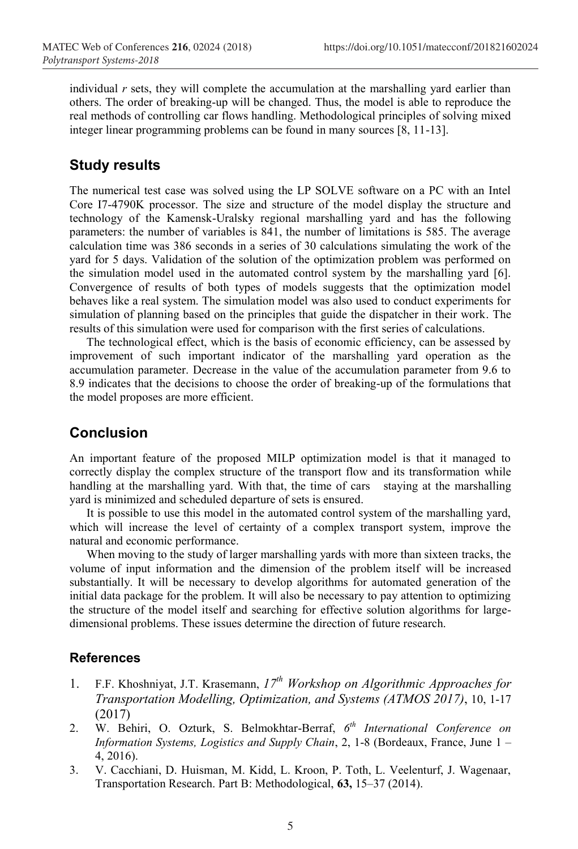individual *r* sets, they will complete the accumulation at the marshalling yard earlier than others. The order of breaking-up will be changed. Thus, the model is able to reproduce the real methods of controlling car flows handling. Methodological principles of solving mixed integer linear programming problems can be found in many sources [8, 11-13].

## **Study results**

The numerical test case was solved using the LP SOLVE software on a PC with an Intel Core I7-4790K processor. The size and structure of the model display the structure and technology of the Kamensk-Uralsky regional marshalling yard and has the following parameters: the number of variables is 841, the number of limitations is 585. The average calculation time was 386 seconds in a series of 30 calculations simulating the work of the yard for 5 days. Validation of the solution of the optimization problem was performed on the simulation model used in the automated control system by the marshalling yard [6]. Convergence of results of both types of models suggests that the optimization model behaves like a real system. The simulation model was also used to conduct experiments for simulation of planning based on the principles that guide the dispatcher in their work. The results of this simulation were used for comparison with the first series of calculations.

The technological effect, which is the basis of economic efficiency, can be assessed by improvement of such important indicator of the marshalling yard operation as the accumulation parameter. Decrease in the value of the accumulation parameter from 9.6 to 8.9 indicates that the decisions to choose the order of breaking-up of the formulations that the model proposes are more efficient.

## **Conclusion**

An important feature of the proposed MILP optimization model is that it managed to correctly display the complex structure of the transport flow and its transformation while handling at the marshalling yard. With that, the time of cars staying at the marshalling yard is minimized and scheduled departure of sets is ensured.

It is possible to use this model in the automated control system of the marshalling yard, which will increase the level of certainty of a complex transport system, improve the natural and economic performance.

When moving to the study of larger marshalling yards with more than sixteen tracks, the volume of input information and the dimension of the problem itself will be increased substantially. It will be necessary to develop algorithms for automated generation of the initial data package for the problem. It will also be necessary to pay attention to optimizing the structure of the model itself and searching for effective solution algorithms for largedimensional problems. These issues determine the direction of future research.

#### **References**

- 1. F.F. Khoshniyat, J.T. Krasemann, *17th Workshop on Algorithmic Approaches for Transportation Modelling, Optimization, and Systems (ATMOS 2017)*, 10, 1-17 (2017)
- 2. W. Behiri, O. Ozturk, S. Belmokhtar-Berraf, *6th International Conference on Information Systems, Logistics and Supply Chain*, 2, 1-8 (Bordeaux, France, June 1 – 4, 2016).
- 3. V. Cacchiani, D. Huisman, M. Kidd, L. Kroon, P. Toth, L. Veelenturf, J. Wagenaar, Transportation Research. Part B: Methodological, **63,** 15–37 (2014).